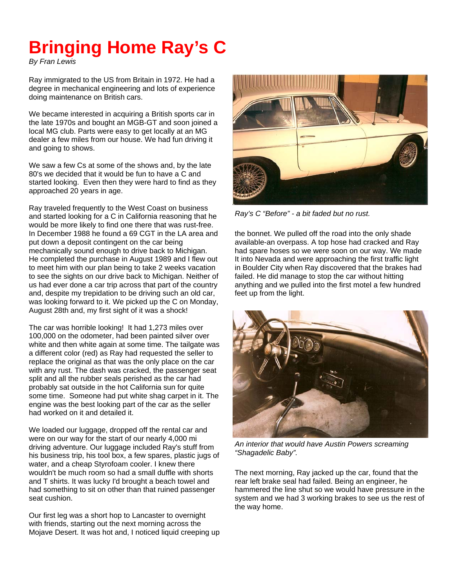## **Bringing Home Ray's C**

*By Fran Lewis* 

Ray immigrated to the US from Britain in 1972. He had a degree in mechanical engineering and lots of experience doing maintenance on British cars.

We became interested in acquiring a British sports car in the late 1970s and bought an MGB-GT and soon joined a local MG club. Parts were easy to get locally at an MG dealer a few miles from our house. We had fun driving it and going to shows.

We saw a few Cs at some of the shows and, by the late 80's we decided that it would be fun to have a C and started looking. Even then they were hard to find as they approached 20 years in age.

Ray traveled frequently to the West Coast on business and started looking for a C in California reasoning that he would be more likely to find one there that was rust-free. In December 1988 he found a 69 CGT in the LA area and put down a deposit contingent on the car being mechanically sound enough to drive back to Michigan. He completed the purchase in August 1989 and I flew out to meet him with our plan being to take 2 weeks vacation to see the sights on our drive back to Michigan. Neither of us had ever done a car trip across that part of the country and, despite my trepidation to be driving such an old car, was looking forward to it. We picked up the C on Monday, August 28th and, my first sight of it was a shock!

The car was horrible looking! It had 1,273 miles over 100,000 on the odometer, had been painted silver over white and then white again at some time. The tailgate was a different color (red) as Ray had requested the seller to replace the original as that was the only place on the car with any rust. The dash was cracked, the passenger seat split and all the rubber seals perished as the car had probably sat outside in the hot California sun for quite some time. Someone had put white shag carpet in it. The engine was the best looking part of the car as the seller had worked on it and detailed it.

We loaded our luggage, dropped off the rental car and were on our way for the start of our nearly 4,000 mi driving adventure. Our luggage included Ray's stuff from his business trip, his tool box, a few spares, plastic jugs of water, and a cheap Styrofoam cooler. I knew there wouldn't be much room so had a small duffle with shorts and T shirts. It was lucky I'd brought a beach towel and had something to sit on other than that ruined passenger seat cushion.

Our first leg was a short hop to Lancaster to overnight with friends, starting out the next morning across the Mojave Desert. It was hot and, I noticed liquid creeping up



*Ray's C "Before" - a bit faded but no rust.* 

the bonnet. We pulled off the road into the only shade available-an overpass. A top hose had cracked and Ray had spare hoses so we were soon on our way. We made It into Nevada and were approaching the first traffic light in Boulder City when Ray discovered that the brakes had failed. He did manage to stop the car without hitting anything and we pulled into the first motel a few hundred feet up from the light.



*An interior that would have Austin Powers screaming "Shagadelic Baby".* 

The next morning, Ray jacked up the car, found that the rear left brake seal had failed. Being an engineer, he hammered the line shut so we would have pressure in the system and we had 3 working brakes to see us the rest of the way home.